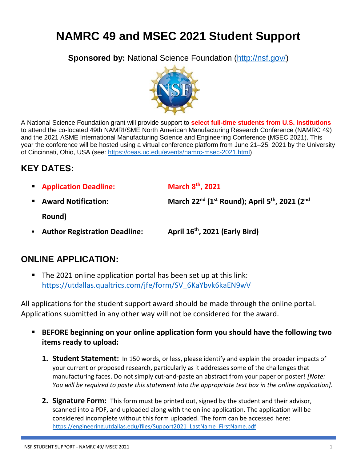# **NAMRC 49 and MSEC 2021 Student Support**

**Sponsored by:** National Science Foundation [\(http://nsf.gov/\)](http://nsf.gov/)



A National Science Foundation grant will provide support to **select full-time students from U.S. institutions** to attend the co-located 49th NAMRI/SME North American Manufacturing Research Conference (NAMRC 49) and the 2021 ASME International Manufacturing Science and Engineering Conference (MSEC 2021). This year the conference will be hosted using a virtual conference platform from June 21–25, 2021 by the University of Cincinnati, Ohio, USA (see: [https://ceas.uc.edu/events/namrc-msec-2021.html\)](https://ceas.uc.edu/events/namrc-msec-2021.html)

## **KEY DATES:**

**Application Deadline:** 

**th, 2021**

**E** Award Notification:

**nd (1st Round); April 5 th, 2021 (2nd**

**Round)**

**E** Author Registration Deadline: **th, 2021 (Early Bird)**

### **ONLINE APPLICATION:**

■ The 2021 online application portal has been set up at this link: [https://utdallas.qualtrics.com/jfe/form/SV\\_6KaYbvk6kaEN9wV](https://utdallas.qualtrics.com/jfe/form/SV_6KaYbvk6kaEN9wV)

All applications for the student support award should be made through the online portal. Applications submitted in any other way will not be considered for the award.

- BEFORE beginning on your online application form you should have the following two **items ready to upload:** 
	- **1. Student Statement:** In 150 words, or less, please identify and explain the broader impacts of your current or proposed research, particularly as it addresses some of the challenges that manufacturing faces. Do not simply cut-and-paste an abstract from your paper or poster! *[Note: You will be required to paste this statement into the appropriate text box in the online application].*
	- **2. Signature Form:** This form must be printed out, signed by the student and their advisor, scanned into a PDF, and uploaded along with the online application. The application will be considered incomplete without this form uploaded. The form can be accessed here: [https://engineering.utdallas.edu/files/Support2021\\_LastName\\_FirstName.pdf](https://engineering.utdallas.edu/files/Support2021_LastName_FirstName.pdf)